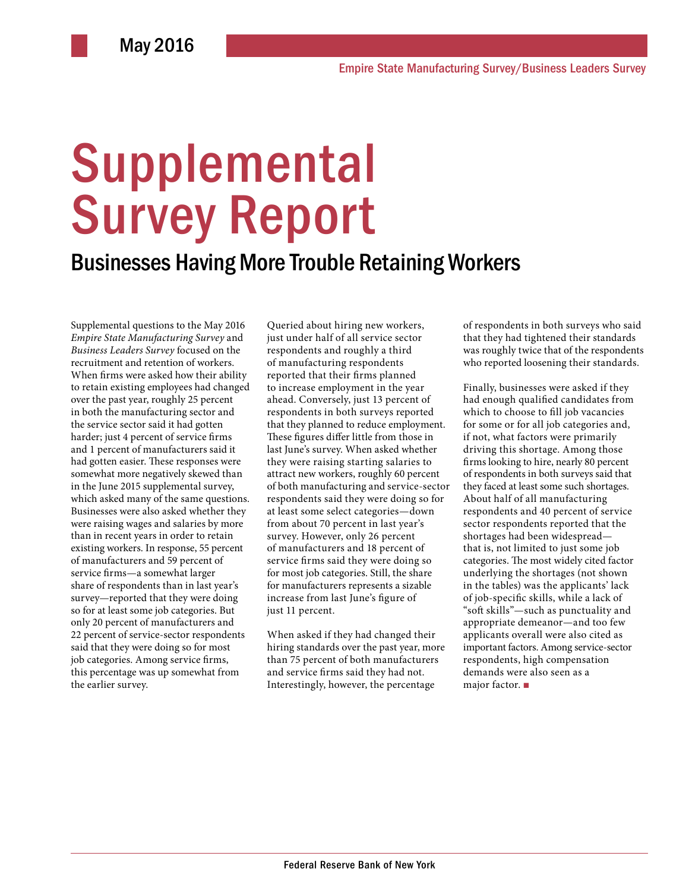# **Supplemental** Survey Report

## Businesses Having More Trouble Retaining Workers

Supplemental questions to the May 2016 *Empire State Manufacturing Survey* and *Business Leaders Survey* focused on the recruitment and retention of workers. When firms were asked how their ability to retain existing employees had changed over the past year, roughly 25 percent in both the manufacturing sector and the service sector said it had gotten harder; just 4 percent of service firms and 1 percent of manufacturers said it had gotten easier. These responses were somewhat more negatively skewed than in the June 2015 supplemental survey, which asked many of the same questions. Businesses were also asked whether they were raising wages and salaries by more than in recent years in order to retain existing workers. In response, 55 percent of manufacturers and 59 percent of service firms—a somewhat larger share of respondents than in last year's survey—reported that they were doing so for at least some job categories. But only 20 percent of manufacturers and 22 percent of service-sector respondents said that they were doing so for most job categories. Among service firms, this percentage was up somewhat from the earlier survey.

Queried about hiring new workers, just under half of all service sector respondents and roughly a third of manufacturing respondents reported that their firms planned to increase employment in the year ahead. Conversely, just 13 percent of respondents in both surveys reported that they planned to reduce employment. These figures differ little from those in last June's survey. When asked whether they were raising starting salaries to attract new workers, roughly 60 percent of both manufacturing and service-sector respondents said they were doing so for at least some select categories—down from about 70 percent in last year's survey. However, only 26 percent of manufacturers and 18 percent of service firms said they were doing so for most job categories. Still, the share for manufacturers represents a sizable increase from last June's figure of just 11 percent.

When asked if they had changed their hiring standards over the past year, more than 75 percent of both manufacturers and service firms said they had not. Interestingly, however, the percentage

of respondents in both surveys who said that they had tightened their standards was roughly twice that of the respondents who reported loosening their standards.

Finally, businesses were asked if they had enough qualified candidates from which to choose to fill job vacancies for some or for all job categories and, if not, what factors were primarily driving this shortage. Among those firms looking to hire, nearly 80 percent of respondents in both surveys said that they faced at least some such shortages. About half of all manufacturing respondents and 40 percent of service sector respondents reported that the shortages had been widespread that is, not limited to just some job categories. The most widely cited factor underlying the shortages (not shown in the tables) was the applicants' lack of job-specific skills, while a lack of "soft skills"—such as punctuality and appropriate demeanor—and too few applicants overall were also cited as important factors. Among service-sector respondents, high compensation demands were also seen as a major factor. ■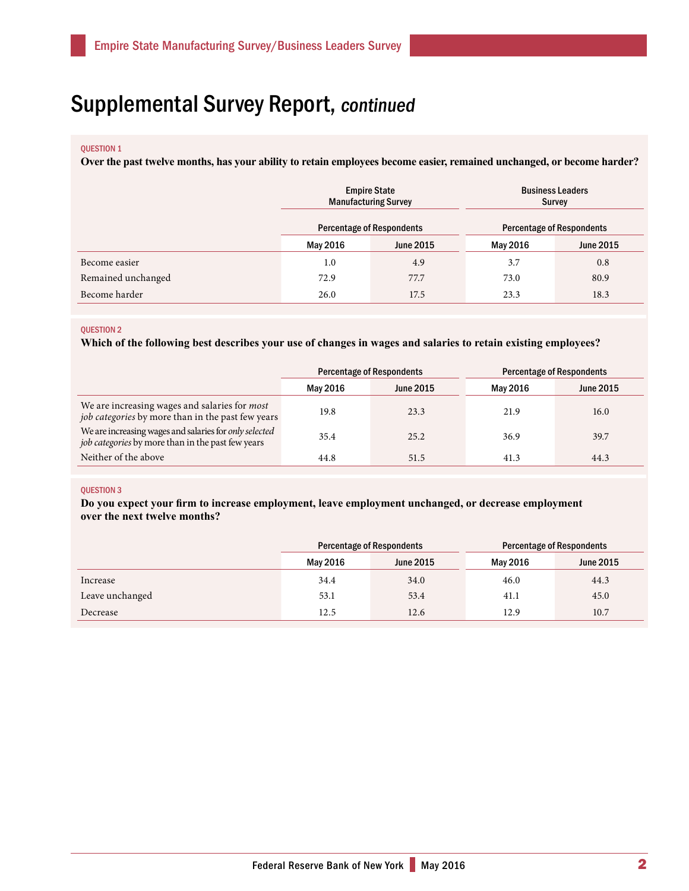# Supplemental Survey Report, continued

#### QUESTION 1

**Over the past twelve months, has your ability to retain employees become easier, remained unchanged, or become harder?**

|                    | <b>Empire State</b><br><b>Manufacturing Survey</b><br><b>Percentage of Respondents</b> |                  | <b>Business Leaders</b><br>Survey<br><b>Percentage of Respondents</b> |                  |
|--------------------|----------------------------------------------------------------------------------------|------------------|-----------------------------------------------------------------------|------------------|
|                    | May 2016                                                                               | <b>June 2015</b> | May 2016                                                              | <b>June 2015</b> |
| Become easier      | 1.0                                                                                    | 4.9              | 3.7                                                                   | 0.8              |
| Remained unchanged | 72.9                                                                                   | 77.7             | 73.0                                                                  | 80.9             |
| Become harder      | 26.0                                                                                   | 17.5             | 23.3                                                                  | 18.3             |

#### QUESTION 2

**Which of the following best describes your use of changes in wages and salaries to retain existing employees?**

|                                                                                                             | <b>Percentage of Respondents</b> |                  | <b>Percentage of Respondents</b> |                  |
|-------------------------------------------------------------------------------------------------------------|----------------------------------|------------------|----------------------------------|------------------|
|                                                                                                             | May 2016                         | <b>June 2015</b> | May 2016                         | <b>June 2015</b> |
| We are increasing wages and salaries for most<br>job categories by more than in the past few years          | 19.8                             | 23.3             | 21.9                             | 16.0             |
| We are increasing wages and salaries for only selected<br>job categories by more than in the past few years | 35.4                             | 25.2             | 36.9                             | 39.7             |
| Neither of the above                                                                                        | 44.8                             | 51.5             | 41.3                             | 44.3             |

#### QUESTION 3

**Do you expect your firm to increase employment, leave employment unchanged, or decrease employment over the next twelve months?** 

|                 | <b>Percentage of Respondents</b> |                  | <b>Percentage of Respondents</b> |                  |
|-----------------|----------------------------------|------------------|----------------------------------|------------------|
|                 | May 2016                         | <b>June 2015</b> | May 2016                         | <b>June 2015</b> |
| Increase        | 34.4                             | 34.0             | 46.0                             | 44.3             |
| Leave unchanged | 53.1                             | 53.4             | 41.1                             | 45.0             |
| Decrease        | 12.5                             | 12.6             | 12.9                             | 10.7             |